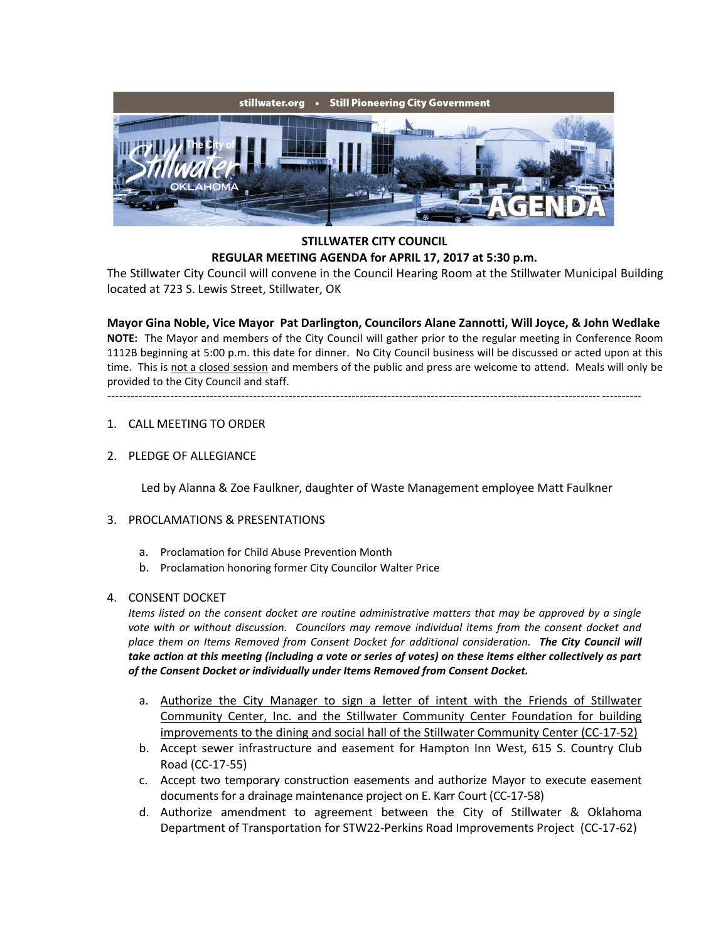

# **STILLWATER CITY COUNCIL REGULAR MEETING AGENDA for APRIL 17, 2017 at 5:30 p.m.**

The Stillwater City Council will convene in the Council Hearing Room at the Stillwater Municipal Building located at 723 S. Lewis Street, Stillwater, OK

**Mayor Gina Noble, Vice Mayor Pat Darlington, Councilors Alane Zannotti, Will Joyce, & John Wedlake NOTE:** The Mayor and members of the City Council will gather prior to the regular meeting in Conference Room 1112B beginning at 5:00 p.m. this date for dinner. No City Council business will be discussed or acted upon at this time. This is not a closed session and members of the public and press are welcome to attend. Meals will only be provided to the City Council and staff.

---------------------------------------------------------------------------------------------------------------------------------------

- 1. CALL MEETING TO ORDER
- 2. PLEDGE OF ALLEGIANCE

Led by Alanna & Zoe Faulkner, daughter of Waste Management employee Matt Faulkner

#### 3. PROCLAMATIONS & PRESENTATIONS

- a. Proclamation for Child Abuse Prevention Month
- b. Proclamation honoring former City Councilor Walter Price
- 4. CONSENT DOCKET

*Items listed on the consent docket are routine administrative matters that may be approved by a single vote with or without discussion. Councilors may remove individual items from the consent docket and place them on Items Removed from Consent Docket for additional consideration. The City Council will take action at this meeting (including a vote or series of votes) on these items either collectively as part of the Consent Docket or individually under Items Removed from Consent Docket.*

- a. Authorize the City Manager to sign a letter of intent with the Friends of Stillwater Community Center, Inc. and the Stillwater Community Center Foundation for building improvements to the dining and social hall of the Stillwater Community Center (CC-17-52)
- b. Accept sewer infrastructure and easement for Hampton Inn West, 615 S. Country Club Road (CC-17-55)
- c. Accept two temporary construction easements and authorize Mayor to execute easement documents for a drainage maintenance project on E. Karr Court (CC-17-58)
- d. Authorize amendment to agreement between the City of Stillwater & Oklahoma Department of Transportation for STW22-Perkins Road Improvements Project (CC-17-62)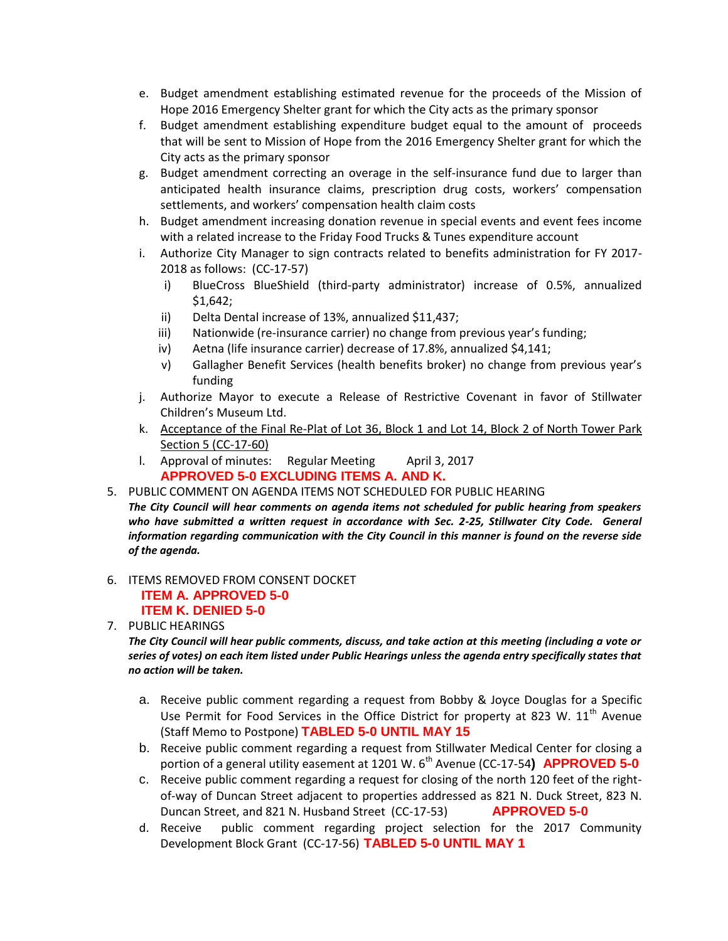- e. Budget amendment establishing estimated revenue for the proceeds of the Mission of Hope 2016 Emergency Shelter grant for which the City acts as the primary sponsor
- f. Budget amendment establishing expenditure budget equal to the amount of proceeds that will be sent to Mission of Hope from the 2016 Emergency Shelter grant for which the City acts as the primary sponsor
- g. Budget amendment correcting an overage in the self-insurance fund due to larger than anticipated health insurance claims, prescription drug costs, workers' compensation settlements, and workers' compensation health claim costs
- h. Budget amendment increasing donation revenue in special events and event fees income with a related increase to the Friday Food Trucks & Tunes expenditure account
- i. Authorize City Manager to sign contracts related to benefits administration for FY 2017- 2018 as follows: (CC-17-57)
	- i) BlueCross BlueShield (third-party administrator) increase of 0.5%, annualized \$1,642;
	- ii) Delta Dental increase of 13%, annualized \$11,437;
	- iii) Nationwide (re-insurance carrier) no change from previous year's funding;
	- iv) Aetna (life insurance carrier) decrease of 17.8%, annualized \$4,141;
	- v) Gallagher Benefit Services (health benefits broker) no change from previous year's funding
- j. Authorize Mayor to execute a Release of Restrictive Covenant in favor of Stillwater Children's Museum Ltd.
- k. Acceptance of the Final Re-Plat of Lot 36, Block 1 and Lot 14, Block 2 of North Tower Park Section 5 (CC-17-60)
- l. Approval of minutes: Regular Meeting April 3, 2017 **APPROVED 5-0 EXCLUDING ITEMS A. AND K.**
- 5. PUBLIC COMMENT ON AGENDA ITEMS NOT SCHEDULED FOR PUBLIC HEARING

*The City Council will hear comments on agenda items not scheduled for public hearing from speakers*  who have submitted a written request in accordance with Sec. 2-25, Stillwater City Code. General *information regarding communication with the City Council in this manner is found on the reverse side of the agenda.*

## 6. ITEMS REMOVED FROM CONSENT DOCKET **ITEM A. APPROVED 5-0 ITEM K. DENIED 5-0**

7. PUBLIC HEARINGS

*The City Council will hear public comments, discuss, and take action at this meeting (including a vote or series of votes) on each item listed under Public Hearings unless the agenda entry specifically states that no action will be taken.*

- a. Receive public comment regarding a request from Bobby & Joyce Douglas for a Specific Use Permit for Food Services in the Office District for property at 823 W.  $11<sup>th</sup>$  Avenue (Staff Memo to Postpone) **TABLED 5-0 UNTIL MAY 15**
- b. Receive public comment regarding a request from Stillwater Medical Center for closing a portion of a general utility easement at 1201 W. 6<sup>th</sup> Avenue (CC-17-54) **APPROVED 5-0**
- c. Receive public comment regarding a request for closing of the north 120 feet of the rightof-way of Duncan Street adjacent to properties addressed as 821 N. Duck Street, 823 N. Duncan Street, and 821 N. Husband Street (CC-17-53) **APPROVED 5-0**
- d. Receive public comment regarding project selection for the 2017 Community Development Block Grant (CC-17-56) **TABLED 5-0 UNTIL MAY 1**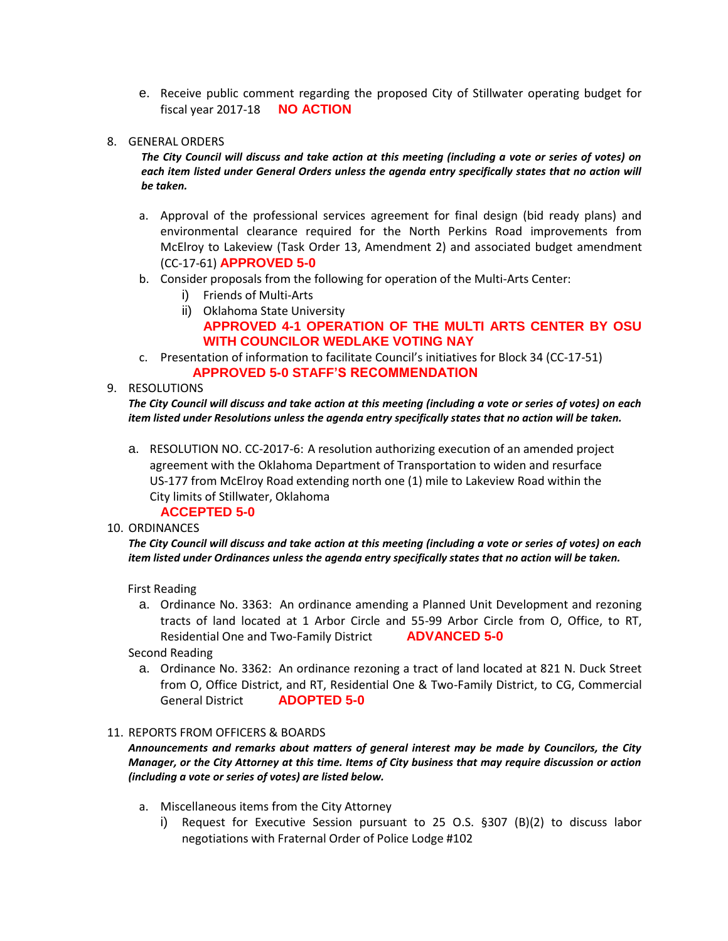- e. Receive public comment regarding the proposed City of Stillwater operating budget for fiscal year 2017-18 **NO ACTION**
- 8. GENERAL ORDERS

*The City Council will discuss and take action at this meeting (including a vote or series of votes) on*  each item listed under General Orders unless the agenda entry specifically states that no action will *be taken.*

- a. Approval of the professional services agreement for final design (bid ready plans) and environmental clearance required for the North Perkins Road improvements from McElroy to Lakeview (Task Order 13, Amendment 2) and associated budget amendment (CC-17-61) **APPROVED 5-0**
- b. Consider proposals from the following for operation of the Multi-Arts Center:
	- i) Friends of Multi-Arts
	- ii) Oklahoma State University **APPROVED 4-1 OPERATION OF THE MULTI ARTS CENTER BY OSU WITH COUNCILOR WEDLAKE VOTING NAY**
- c. Presentation of information to facilitate Council's initiatives for Block 34 (CC-17-51) **APPROVED 5-0 STAFF'S RECOMMENDATION**

#### 9. RESOLUTIONS

*The City Council will discuss and take action at this meeting (including a vote or series of votes) on each item listed under Resolutions unless the agenda entry specifically states that no action will be taken.*

a. RESOLUTION NO. CC-2017-6: A resolution authorizing execution of an amended project agreement with the Oklahoma Department of Transportation to widen and resurface US-177 from McElroy Road extending north one (1) mile to Lakeview Road within the City limits of Stillwater, Oklahoma

**ACCEPTED 5-0**

10. ORDINANCES

*The City Council will discuss and take action at this meeting (including a vote or series of votes) on each item listed under Ordinances unless the agenda entry specifically states that no action will be taken.*

First Reading

a. Ordinance No. 3363: An ordinance amending a Planned Unit Development and rezoning tracts of land located at 1 Arbor Circle and 55-99 Arbor Circle from O, Office, to RT, Residential One and Two-Family District **ADVANCED 5-0**

Second Reading

a. Ordinance No. 3362: An ordinance rezoning a tract of land located at 821 N. Duck Street from O, Office District, and RT, Residential One & Two-Family District, to CG, Commercial General District **ADOPTED 5-0**

#### 11. REPORTS FROM OFFICERS & BOARDS

*Announcements and remarks about matters of general interest may be made by Councilors, the City Manager, or the City Attorney at this time. Items of City business that may require discussion or action (including a vote or series of votes) are listed below.*

- a. Miscellaneous items from the City Attorney
	- i) Request for Executive Session pursuant to 25 O.S. §307 (B)(2) to discuss labor negotiations with Fraternal Order of Police Lodge #102